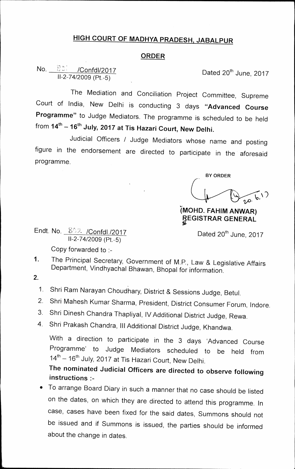## **HIGH COURT OF MADHYA PRADESH, JABALPUR**

## **ORDER**

## $\frac{8.31}{11-2}$  /Confdl/2017<br>II-2-74/2009 (Pt.-5) No. 80 / Confdl/2017

The Mediation and Conciliation Project Committee, Supreme Court of India, New Delhi is conducting 3 days **"Advanced Course Programme"** to Judge Mediators. The programme is scheduled to be held from **14th — 16th July, 2017 at Tis Hazari Court, New Delhi.** 

Judicial Officers / Judge Mediators whose name and posting figure in the endorsement are directed to participate in the aforesaid programme.

 $v^{\mathrm{o}}$ . **BY ORDER** 

**(MOHD. FAHIM AN WAR) EGISTRAR GENERAL** 

Dated  $20<sup>th</sup>$  June, 2017

Endt. No. 802 / Confdl./2017 11-2-74/2009 (Pt.-5)

Copy forwarded to :-

- 1. The Principal Secretary, Government of M.P., Law & Legislative Affairs Department, Vindhyachal Bhawan, Bhopal for information.
- $2.$ 
	- 1. Shri Ram Narayan Choudhary, District & Sessions Judge, Betul.
	- 2. Shri Mahesh Kumar Sharma, President, District Consumer Forum, Indore.
	- 3. Shri Dinesh Chandra Thapliyal, IV Additional District Judge, Rewa.
	- 4. Shri Prakash Chandra, Ill Additional District Judge, Khandwa.

With a direction to participate in the 3 days 'Advanced Course Programme' to Judge Mediators scheduled to be held from  $14<sup>th</sup> - 16<sup>th</sup>$  July, 2017 at Tis Hazari Court, New Delhi.

## **The nominated Judicial Officers are directed to observe following instructions**

• To arrange Board Diary in such a manner that no case should be listed on the dates, on which they are directed to attend this programme. In case, cases have been fixed for the said dates, Summons should not be issued and if Summons is issued, the parties should be informed about the change in dates.